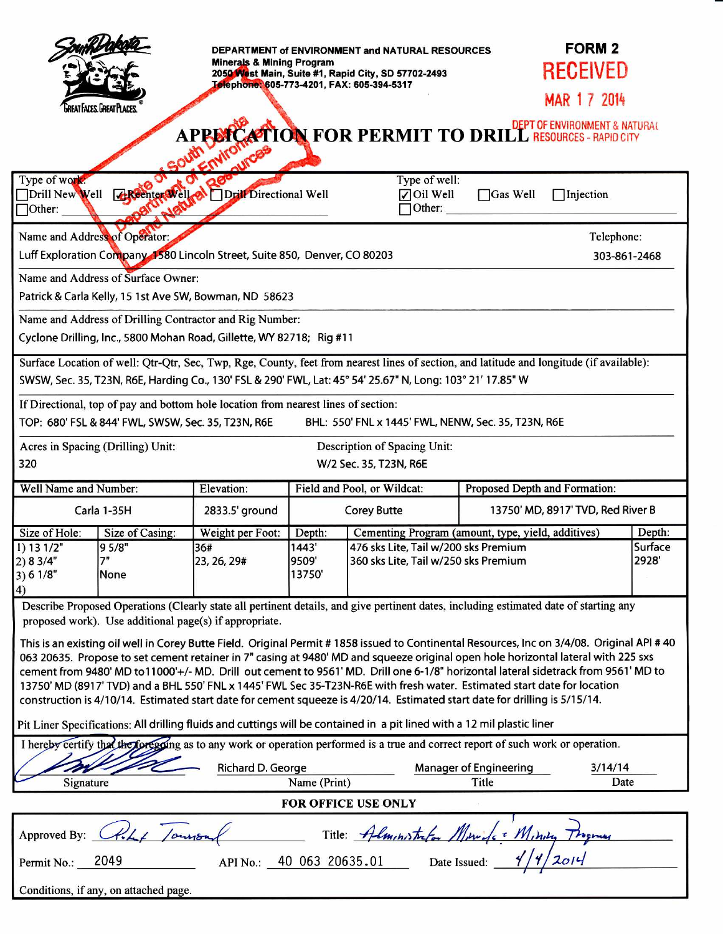|                                                                                                                                                                                                                                                                                                                                                                                                                                                                                                                                                                                                                                                                                                                                                                                                                                                                                                                                                                                                             | GREAT FACES. GREAT PLACES.             | <b>Minerals &amp; Mining Program</b><br>miro | DEPARTMENT of ENVIRONMENT and NATURAL RESOURCES<br>2050 West Main, Suite #1, Rapid City, SD 57702-2493<br>Telephone: 605-773-4201, FAX: 605-394-5317<br>APPERCATION FOR PERMIT TO DRILL RESOURCES - RAPID CITY |                                                                                                                                    |                               | <b>FORM 2</b><br>RECEIVED<br>MAR 1 7 2014 |  |
|-------------------------------------------------------------------------------------------------------------------------------------------------------------------------------------------------------------------------------------------------------------------------------------------------------------------------------------------------------------------------------------------------------------------------------------------------------------------------------------------------------------------------------------------------------------------------------------------------------------------------------------------------------------------------------------------------------------------------------------------------------------------------------------------------------------------------------------------------------------------------------------------------------------------------------------------------------------------------------------------------------------|----------------------------------------|----------------------------------------------|----------------------------------------------------------------------------------------------------------------------------------------------------------------------------------------------------------------|------------------------------------------------------------------------------------------------------------------------------------|-------------------------------|-------------------------------------------|--|
| Type of work:<br>Drill New Well<br>$\Box$ Other:                                                                                                                                                                                                                                                                                                                                                                                                                                                                                                                                                                                                                                                                                                                                                                                                                                                                                                                                                            | <b>Reenter Well &amp;</b>              | Drift Directional Well                       |                                                                                                                                                                                                                | Type of well:<br>Oil Well<br>$\blacktriangledown$<br>Other:                                                                        | $\Box$ Gas Well               | $\Box$ Injection                          |  |
| Name and Address of Operator:<br>Telephone:<br>Luff Exploration Company 1580 Lincoln Street, Suite 850, Denver, CO 80203<br>303-861-2468<br>Name and Address of Surface Owner:<br>Patrick & Carla Kelly, 15 1st Ave SW, Bowman, ND 58623                                                                                                                                                                                                                                                                                                                                                                                                                                                                                                                                                                                                                                                                                                                                                                    |                                        |                                              |                                                                                                                                                                                                                |                                                                                                                                    |                               |                                           |  |
| Name and Address of Drilling Contractor and Rig Number:<br>Cyclone Drilling, Inc., 5800 Mohan Road, Gillette, WY 82718; Rig #11                                                                                                                                                                                                                                                                                                                                                                                                                                                                                                                                                                                                                                                                                                                                                                                                                                                                             |                                        |                                              |                                                                                                                                                                                                                |                                                                                                                                    |                               |                                           |  |
| Surface Location of well: Qtr-Qtr, Sec, Twp, Rge, County, feet from nearest lines of section, and latitude and longitude (if available):<br>SWSW, Sec. 35, T23N, R6E, Harding Co., 130' FSL & 290' FWL, Lat: 45° 54' 25.67" N, Long: 103° 21' 17.85" W<br>If Directional, top of pay and bottom hole location from nearest lines of section:<br>TOP: 680' FSL & 844' FWL, SWSW, Sec. 35, T23N, R6E<br>BHL: 550' FNL x 1445' FWL, NENW, Sec. 35, T23N, R6E<br>Acres in Spacing (Drilling) Unit:<br>Description of Spacing Unit:<br>320<br>W/2 Sec. 35, T23N, R6E                                                                                                                                                                                                                                                                                                                                                                                                                                             |                                        |                                              |                                                                                                                                                                                                                |                                                                                                                                    |                               |                                           |  |
| Well Name and Number:                                                                                                                                                                                                                                                                                                                                                                                                                                                                                                                                                                                                                                                                                                                                                                                                                                                                                                                                                                                       |                                        | Elevation:                                   | Field and Pool, or Wildcat:                                                                                                                                                                                    |                                                                                                                                    | Proposed Depth and Formation: |                                           |  |
| Carla 1-35H                                                                                                                                                                                                                                                                                                                                                                                                                                                                                                                                                                                                                                                                                                                                                                                                                                                                                                                                                                                                 |                                        | 2833.5' ground                               | <b>Corey Butte</b>                                                                                                                                                                                             |                                                                                                                                    |                               | 13750' MD, 8917' TVD, Red River B         |  |
| Size of Hole:<br>1) 13 1/2"<br>2) 8 3/4"<br>3) 6 1/8"<br>$\vert 4)$                                                                                                                                                                                                                                                                                                                                                                                                                                                                                                                                                                                                                                                                                                                                                                                                                                                                                                                                         | Size of Casing:<br>95/8"<br>7"<br>None | Weight per Foot:<br>36#<br>23, 26, 29#       | Depth:<br>1443'<br>9509'<br>13750'                                                                                                                                                                             | Cementing Program (amount, type, yield, additives)<br>476 sks Lite, Tail w/200 sks Premium<br>360 sks Lite, Tail w/250 sks Premium |                               | Depth:<br>Surface<br>2928                 |  |
| Describe Proposed Operations (Clearly state all pertinent details, and give pertinent dates, including estimated date of starting any<br>proposed work). Use additional page(s) if appropriate.<br>This is an existing oil well in Corey Butte Field. Original Permit #1858 issued to Continental Resources, Inc on 3/4/08. Original API #40<br>063 20635. Propose to set cement retainer in 7" casing at 9480' MD and squeeze original open hole horizontal lateral with 225 sxs<br>cement from 9480' MD to11000'+/- MD. Drill out cement to 9561' MD. Drill one 6-1/8" horizontal lateral sidetrack from 9561' MD to<br>13750' MD (8917' TVD) and a BHL 550' FNL x 1445' FWL Sec 35-T23N-R6E with fresh water. Estimated start date for location<br>construction is 4/10/14. Estimated start date for cement squeeze is 4/20/14. Estimated start date for drilling is 5/15/14.<br>Pit Liner Specifications: All drilling fluids and cuttings will be contained in a pit lined with a 12 mil plastic liner |                                        |                                              |                                                                                                                                                                                                                |                                                                                                                                    |                               |                                           |  |
| I hereby certify the the foregoing as to any work or operation performed is a true and correct report of such work or operation.<br>Richard D. George<br><b>Manager of Engineering</b><br>3/14/14                                                                                                                                                                                                                                                                                                                                                                                                                                                                                                                                                                                                                                                                                                                                                                                                           |                                        |                                              |                                                                                                                                                                                                                |                                                                                                                                    |                               |                                           |  |
| Signature<br>Name (Print)<br>Title<br>Date                                                                                                                                                                                                                                                                                                                                                                                                                                                                                                                                                                                                                                                                                                                                                                                                                                                                                                                                                                  |                                        |                                              |                                                                                                                                                                                                                |                                                                                                                                    |                               |                                           |  |
| <b>FOR OFFICE USE ONLY</b>                                                                                                                                                                                                                                                                                                                                                                                                                                                                                                                                                                                                                                                                                                                                                                                                                                                                                                                                                                                  |                                        |                                              |                                                                                                                                                                                                                |                                                                                                                                    |                               |                                           |  |
| Approved By: CRLL / Ourson<br>$\ell$ Title: Alministrica Minisfe Minisq Program<br>APINO.: 40 063 20635.01 Date Issued: 1/1/2014<br>Permit No.: 2049                                                                                                                                                                                                                                                                                                                                                                                                                                                                                                                                                                                                                                                                                                                                                                                                                                                        |                                        |                                              |                                                                                                                                                                                                                |                                                                                                                                    |                               |                                           |  |
| Conditions, if any, on attached page.                                                                                                                                                                                                                                                                                                                                                                                                                                                                                                                                                                                                                                                                                                                                                                                                                                                                                                                                                                       |                                        |                                              |                                                                                                                                                                                                                |                                                                                                                                    |                               |                                           |  |